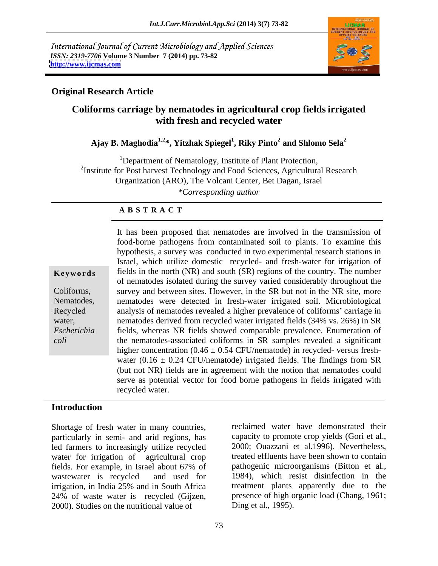International Journal of Current Microbiology and Applied Sciences *ISSN: 2319-7706* **Volume 3 Number 7 (2014) pp. 73-82 <http://www.ijcmas.com>**



# **Original Research Article**

# **Coliforms carriage by nematodes in agricultural crop fields irrigated with fresh and recycled water**

### Ajay B. Maghodia<sup>1,2</sup>\*, Yitzhak Spiegel<sup>1</sup>, Riky Pinto<sup>2</sup> and Shlomo Sela<sup>2</sup>  **and Shlomo Sela<sup>2</sup>**

<sup>1</sup>Department of Nematology, Institute of Plant Protection, <sup>2</sup>Institute for Post harvest Technology and Food Sciences, Agricultural Research Organization (ARO), The Volcani Center, Bet Dagan, Israel *\*Corresponding author* 

### **A B S T R A C T**

water,

**Keywords** fields in the north (NR) and south (SR) regions of the country. The number Coliforms, survey and between sites. However, in the SR but not in the NR site, more Nematodes, nematodes were detected in fresh-water irrigated soil. Microbiological Recycled analysis of nematodes revealed a higher prevalence of coliforms' carriage in *Escherichia*  fields, whereas NR fields showed comparable prevalence. Enumeration of *coli* the nematodes-associated coliforms in SR samples revealed a significant It has been proposed that nematodes are involved in the transmission of food-borne pathogens from contaminated soil to plants. To examine this hypothesis, a survey was conducted in two experimental research stations in Israel, which utilize domestic recycled- and fresh-water for irrigation of of nematodes isolated during the survey varied considerably throughout the nematodes derived from recycled water irrigated fields (34% vs. 26%) in SR higher concentration  $(0.46 \pm 0.54 \text{ CFU/nematic})$  in recycled-versus freshwater (0.16  $\pm$  0.24 CFU/nematode) irrigated fields. The findings from SR (but not NR) fields are in agreement with the notion that nematodes could serve as potential vector for food borne pathogens in fields irrigated with recycled water.

## **Introduction**

Shortage of fresh water in many countries, particularly in semi- and arid regions, has led farmers to increasingly utilize recycled water for irrigation of agricultural crop fields. For example, in Israel about 67% of wastewater is recycled and used for 1984), which resist disinfection in the irrigation, in India 25% and in South Africa 24% of waste water is recycled (Gijzen, 2000). Studies on the nutritional value of

reclaimed water have demonstrated their capacity to promote crop yields (Gori et al., 2000; Ouazzani et al.1996). Nevertheless, treated effluents have been shown to contain pathogenic microorganisms (Bitton et al., treatment plants apparently due to the presence of high organic load (Chang, 1961; Ding et al., 1995).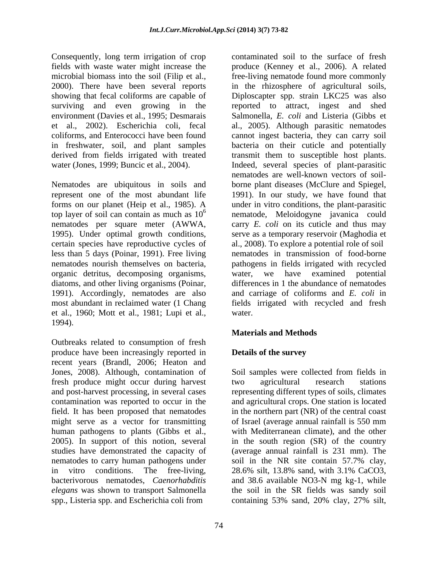Consequently, long term irrigation of crop

represent one of the most abundant life 1995). Under optimal growth conditions, certain species have reproductive cycles of organic detritus, decomposing organisms, diatoms, and other living organisms (Poinar, 1991). Accordingly, nematodes are also et al., 1960; Mott et al., 1981; Lupi et al., 1994).

Outbreaks related to consumption of fresh produce have been increasingly reported in **Details of the survey** recent years (Brandl, 2006; Heaton and Jones, 2008). Although, contamination of fresh produce might occur during harvest and post-harvest processing, in several cases representing different types of soils, climates contamination was reported to occur in the and agricultural crops. Onestation is located field. It has been proposed that nematodes might serve as a vector for transmitting of Israel (average annual rainfall is 550 mm human pathogens to plants (Gibbs et al., with Mediterranean climate), and the other 2005). In support of this notion, several in the south region (SR) of the country studies have demonstrated the capacity of (average annual rainfall is 231 mm). The nematodes to carry human pathogens under soil in the NR site contain 57.7% clay, in vitro conditions. The free-living, 28.6% silt, 13.8% sand, with 3.1% CaCO3, bacterivorous nematodes, *Caenorhabditis*  and 38.6 available NO3-N mg kg-1, while *elegans* was shown to transport Salmonella the soil in the SR fields was sandy soil spp., Listeria spp. and Escherichia coli from containing 53% sand, 20% clay, 27% silt,

fields with waste water might increase the produce (Kenney et al., 2006). A related microbial biomass into the soil (Filip et al., free-living nematode found more commonly 2000). There have been several reports in the rhizosphere of agricultural soils, showing that fecal coliforms are capable of Diploscapter spp. strain LKC25 was also surviving and even growing in the reported to attract, ingest and shed environment (Davies et al., 1995; Desmarais Salmonella, *E. coli* and Listeria (Gibbs et et al., 2002). Escherichia coli, fecal al., 2005). Although parasitic nematodes coliforms, and Enterococci have been found cannot ingest bacteria, they can carry soil in freshwater, soil, and plant samples bacteria on their cuticle and potentially derived from fields irrigated with treated transmit them to susceptible host plants. water (Jones, 1999; Buncic et al., 2004). Indeed, several species of plant-parasitic Nematodes are ubiquitous in soils and borne plant diseases (McClure and Spiegel, forms on our planet (Heip et al., 1985). A under in vitro conditions, the plant-parasitic top layer of soil can contain as much as 10 6 nematode, Meloidogyne javanica could nematodes per square meter (AWWA, carry *E. coli* on its cuticle and thus may less than 5 days (Poinar, 1991). Free living nematodes in transmission of food-borne nematodes nourish themselves on bacteria, pathogens in fields irrigated with recycled most abundant in reclaimed water (1 Chang fields irrigated with recycled and fresh contaminated soil to the surface of fresh nematodes are well-known vectors of soil- 1991). In our study, we have found that serve as a temporary reservoir (Maghodia et al., 2008). To explore a potential role of soil water, we have examined potential differences in 1 the abundance of nematodes and carriage of coliforms and *E. coli* in water.

# **Materials and Methods**

# **Details of the survey**

Soil samples were collected from fields in two agricultural research stations in the northern part (NR) of the central coast soil in the NR site contain 57.7% clay, 28.6% silt, 13.8% sand, with 3.1% CaCO3, containing 53% sand, 20% clay, 27% silt,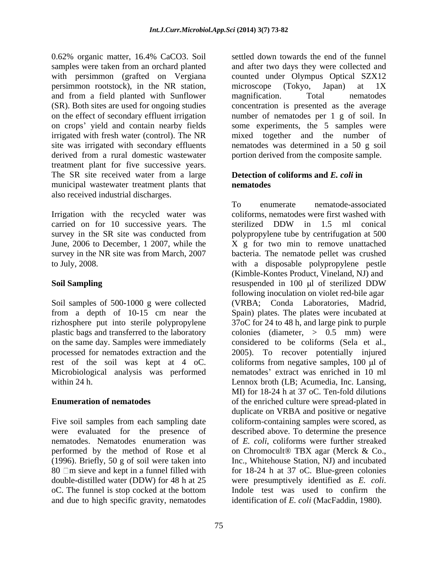0.62% organic matter, 16.4% CaCO3. Soil persimmon rootstock), in the NR station, microscope (Tokyo, Japan) at 1X and from a field planted with Sunflower magnification. Total nematodes and from a field planted with Sunflower treatment plant for five successive years. The SR site received water from a large municipal wastewater treatment plants that **nematodes** also received industrial discharges.

Irrigation with the recycled water was carried on for 10 successive years. The sterilized DDW in 1.5 ml conical

Soil samples of 500-1000 g were collected (VRBA; Conda Laboratories, Madrid, from a depth of 10-15 cm near the rest of the soil was kept at 4 oC. Microbiological analysis was performed

Five soil samples from each sampling date double-distilled water (DDW) for 48 h at 25 were presumptively identified as E. coli. oC. The funnel is stop cocked at the bottom and due to high specific gravity, nematodes

samples were taken from an orchard planted and after two days they were collected and with persimmon (grafted on Vergiana counted under Olympus Optical SZX12 (SR). Both sites are used for ongoing studies concentration is presented as the average on the effect of secondary effluent irrigation number of nematodes per 1 g of soil. In on crops' yield and contain nearby fields some experiments, the 5 samples were irrigated with fresh water (control). The NR mixed together and the number of site was irrigated with secondary effluents nematodes was determined in a 50 g soil derived from a rural domestic wastewater portion derived from the composite sample. settled down towards the end of the funnel microscope (Tokyo, Japan) at 1X magnification. Total nematodes

# **Detection of coliforms and** *E. coli* **in nematodes**

survey in the SR site was conducted from polypropylene tube by centrifugation at 500 June, 2006 to December, 1 2007, while the X g for two min to remove unattached survey in the NR site was from March, 2007 bacteria. The nematode pellet was crushed to July, 2008. with a disposable polypropylene pestle **Soil Sampling** resuspended in 100 µl of sterilized DDW rizhosphere put into sterile polypropylene 37oC for 24 to 48 h, and large pink to purple plastic bags and transferred to the laboratory colonies (diameter, > 0.5 mm) were on the same day. Samples were immediately considered to be coliforms (Sela et al., processed for nematodes extraction and the 2005). To recover potentially injured within 24 h. Lennox broth (LB; Acumedia, Inc. Lansing, **Enumeration of nematodes** of the enriched culture were spread-plated in were evaluated for the presence of described above. To determine the presence nematodes. Nematodes enumeration was of *E. coli*, coliforms were further streaked performed by the method of Rose et al on Chromocult® TBX agar (Merck & Co., (1996). Briefly, 50 g of soil were taken into Inc., Whitehouse Station, NJ) and incubated 80 □m sieve and kept in a funnel filled with for 18-24 h at 37 oC. Blue-green colonies To enumerate nematode-associated coliforms, nematodes were first washed with sterilized DDW in 1.5 ml conical (Kimble-Kontes Product, Vineland, NJ) and resuspended in 100 µl of sterilized DDW following inoculation on violet red-bile agar (VRBA; Conda Laboratories, Spain) plates. The plates were incubated at coliforms from negative samples,  $100 \mu l$  of nematodes' extract was enriched in 10 ml MI) for 18-24 h at 37 oC. Ten-fold dilutions duplicate on VRBA and positive or negative coliform-containing samples were scored, as were presumptively identified as *E. coli*. Indole test was used to confirm the identification of *E. coli* (MacFaddin, 1980).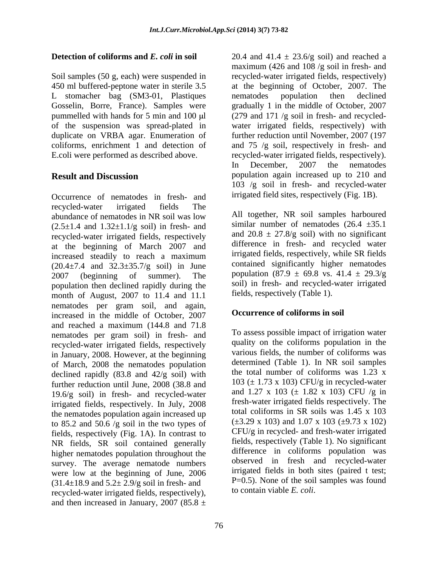L stomacher bag (SM3-01, Plastiques nematodes population then declined duplicate on VRBA agar. Enumeration of

Occurrence of nematodes in fresh- and recycled-water irrigated fields The abundance of nematodes in NR soil was low  $(2.5\pm1.4$  and  $1.32\pm1.1/g$  soil) in fresh- and recycled-water irrigated fields, respectively at the beginning of March 2007 and increased steadily to reach a maximum  $(20.4 \pm 7.4 \text{ and } 32.3 \pm 35.7/g \text{ soil})$  in June 2007 (beginning of summer). The population  $(87.9 \pm 69.8 \text{ vs. } 41.4 \pm 29.3/\text{g})$ population then declined rapidly during the month of August, 2007 to 11.4 and 11.1 nematodes per gram soil, and again, increased in the middle of October, 2007 and reached a maximum (144.8 and 71.8 nematodes per gram soil) in fresh- and recycled-water irrigated fields, respectively in January, 2008. However, at the beginning of March, 2008 the nematodes population declined rapidly (83.8 and 42/g soil) with further reduction until June, 2008 (38.8 and 19.6/g soil) in fresh- and recycled-water irrigated fields, respectively. In July, 2008 the nematodes population again increased up to 85.2 and 50.6 /g soil in the two types of fields, respectively (Fig. 1A). In contrast to NR fields, SR soil contained generally higher nematodes population throughout the survey. The average nematode numbers were low at the beginning of June, 2006  $(31.4\pm18.9 \text{ and } 5.2\pm 2.9/\text{g} \text{ soil in fresh-}$ recycled-water irrigated fields, respectively), and then increased in January, 2007 (85.8  $\pm$ 

**Detection of coliforms and** *E. coli* **in soil**  $20.4$  and  $41.4 \pm 23.6/g$  soil) and reached a Soil samples (50 g, each) were suspended in recycled-water irrigated fields, respectively) 450 ml buffered-peptone water in sterile 3.5 at the beginning of October, 2007. The Gosselin, Borre, France). Samples were gradually 1 in the middle of October, 2007 pummelled with hands for 5 min and 100 µl (279 and 171 /g soil in fresh- and recycledof the suspension was spread-plated in water irrigated fields, respectively) with coliforms, enrichment 1 and detection of and 75 /g soil, respectively in fresh- and E.coli were performed as described above. recycled-water irrigated fields, respectively). **Result and Discussion population** again increased up to 210 and maximum (426 and 108 /g soil in fresh- and nematodes population then declined further reduction until November, 2007 (197 In December, 2007 the nematodes 103 /g soil in fresh- and recycled-water irrigated field sites, respectively (Fig. 1B).

> All together, NR soil samples harboured similar number of nematodes  $(26.4 \pm 35.1)$ and  $20.8 \pm 27.8$ /g soil) with no significant difference in fresh- and recycled water irrigated fields, respectively, while SR fields contained significantly higher nematodes soil) in fresh- and recycled-water irrigated fields, respectively (Table 1).

## **Occurrence of coliforms in soil**

To assess possible impact of irrigation water quality on the coliforms population in the various fields, the number of coliforms was determined (Table 1). In NR soil samples the total number of coliforms was 1.23 x 103 ( $\pm$  1.73 x 103) CFU/g in recycled-water and 1.27 x 103 ( $\pm$  1.82 x 103) CFU /g in fresh-water irrigated fields respectively. The total coliforms in SR soils was 1.45 x 103  $(\pm 3.29 \times 103)$  and 1.07 x 103 ( $\pm 9.73 \times 102$ ) CFU/g in recycled- and fresh-water irrigated fields, respectively (Table 1). No significant difference in coliforms population was observed in fresh and recycled-water irrigated fields in both sites (paired t test; P=0.5). None of the soil samples was found to contain viable *E. coli*.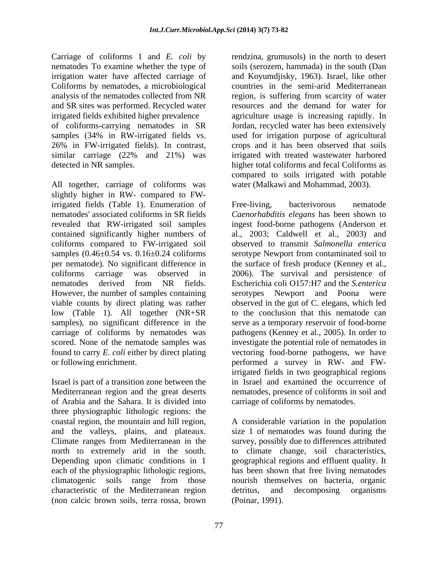Carriage of coliforms 1 and *E. coli* by rendzina, grumusols) in the north to desert nematodes To examine whether the type of soils (serozem, hammada) in the south (Dan irrigation water have affected carriage of and Koyumdjisky, 1963). Israel, like other Coliforms by nematodes, a microbiological countries in the semi-arid Mediterranean analysis of the nematodes collected from NR region, is suffering from scarcity of water and SR sites was performed. Recycled water irrigated fields exhibited higher prevalence agriculture usage is increasing rapidly. In of coliforms-carrying nematodes in SR Jordan, recycled water has been extensively samples (34% in RW-irrigated fields vs. used for irrigation purpose of agricultural 26% in FW-irrigated fields). In contrast, crops and it has been observed that soils similar carriage (22% and 21%) was detected in NR samples. higher total coliforms and fecal Coliforms as

All together, carriage of coliforms was slightly higher in RW- compared to FWirrigated fields (Table 1). Enumeration of Free-living, bacterivorous nematode coliforms compared to FW-irrigated soil low (Table 1). All together (NR+SR

Israel is part of a transition zone between the of Arabia and the Sahara. It is divided into three physiographic lithologic regions: the Climate ranges from Mediterranean in the characteristic of the Mediterranean region (non calcic brown soils, terra rossa, brown

resources and the demand for water for irrigated with treated wastewater harbored compared to soils irrigated with potable water (Malkawi and Mohammad, 2003).

nematodes' associated coliforms in SR fields *Caenorhabditis elegans* has been shown to revealed that RW-irrigated soil samples ingest food-borne pathogens (Anderson et contained significantly higher numbers of al., 2003; Caldwell et al., 2003) and samples (0.46±0.54 vs. 0.16±0.24 coliforms serotype Newport from contaminated soil to per nematode). No significant difference in the surface of fresh produce (Kenney et al., coliforms carriage was observed in 2006). The survival and persistence of nematodes derived from NR fields. Escherichia coli O157:H7 and the *S.enterica* However, the number of samples containing serotypes Newport and Poona were viable counts by direct plating was rather observed in the gut of C. elegans, which led samples), no significant difference in the serve as a temporary reservoir of food-borne carriage of coliforms by nematodes was pathogens (Kenney et al., 2005). In order to scored. None of the nematode samples was investigate the potential role of nematodes in found to carry *E. coli* either by direct plating vectoring food-borne pathogens, we have or following enrichment. performed a survey in RW- and FW-Mediterranean region and the great deserts nematodes, presence of coliforms in soil and Free-living, bacterivorous nematode observed to transmit *Salmonella enterica* to the conclusion that this nematode can irrigated fields in two geographical regions in Israel and examined the occurrence of carriage of coliforms by nematodes.

coastal region, the mountain and hill region, A considerable variation in the population and the valleys, plains, and plateaux. size 1 of nematodes was found during the north to extremely arid in the south. to climate change, soil characteristics, Depending upon climatic conditions in 1 geographical regions and effluent quality. It each of the physiographic lithologic regions, has been shown that free living nematodes climatogenic soils range from those survey, possibly due to differences attributed nourish themselves on bacteria, organic detritus, and decomposing organisms (Poinar, 1991).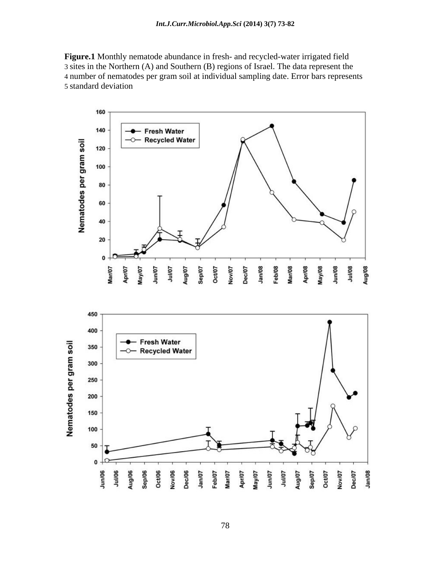**Figure.1** Monthly nematode abundance in fresh- and recycled-water irrigated field 3 sites in the Northern (A) and Southern (B) regions of Israel. The data represent the 4 number of nematodes per gram soil at individual sampling date. Error bars represents 5 standard deviation

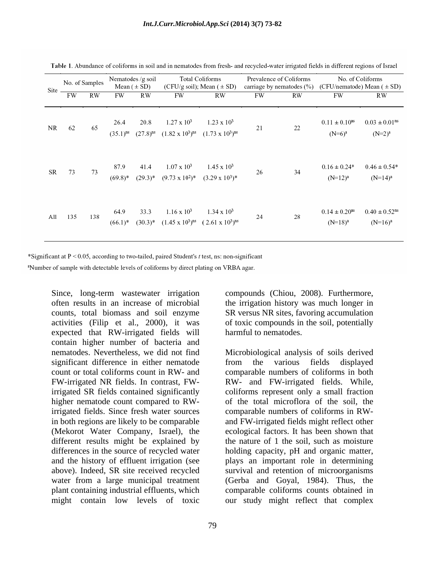| Site | No. of Samples |     | Nematodes /g soil<br>Mean $( \pm SD)$ |                       | <b>Total Coliforms</b><br>(CFU/g soil); Mean $( \pm SD)$ |                                                                               | Prevalence of Coliforms<br>carriage by nematodes $(\%)$ |    | No. of Coliforms<br>(CFU/nematode) Mean $( \pm SD)$ |                                              |
|------|----------------|-----|---------------------------------------|-----------------------|----------------------------------------------------------|-------------------------------------------------------------------------------|---------------------------------------------------------|----|-----------------------------------------------------|----------------------------------------------|
|      | FW             | RW  | FW                                    | RW                    | FW                                                       | RW                                                                            | FW                                                      | RW | FW                                                  | RW                                           |
| NR   | 62             | 65  | 26.4<br>$(35.1)^{ns}$                 | 20.8<br>$(27.8)^{ns}$ | $1.27 \times 10^3$<br>$(1.82 \times 10^3)^{ns}$          | $1.23 \times 10^3$<br>$(1.73 \times 10^3)^{ns}$                               | 21                                                      | 22 | $0.11 \pm 0.10^{ns}$<br>$(N=6)^{3}$                 | $0.03 \pm 0.01$ <sup>ns</sup><br>$(N=2)^{a}$ |
| SR   | 73             | 73  | 87.9<br>$(69.8)*$                     | 41.4<br>$(29.3)^*$    | $1.07 \times 10^3$<br>$(9.73 \times 10^2)^*$             | $1.45 \times 10^3$<br>$(3.29 \times 10^3)^*$                                  | 26                                                      | 34 | $0.16 \pm 0.24*$<br>$(N=12)^a$                      | $0.46 \pm 0.54*$<br>$(N=14)^a$               |
| All  | 135            | 138 | 64.9<br>$(66.1)^*$                    | 33.3<br>$(30.3)^*$    | $1.16 \times 10^3$                                       | $1.34 \times 10^3$<br>$(1.45 \times 10^{3})^{ns}$ $(2.61 \times 10^{3})^{ns}$ | 24                                                      | 28 | $0.14 \pm 0.20$ <sup>ns</sup><br>$(N=18)^a$         | $0.40 \pm 0.52$ <sup>ns</sup><br>$(N=16)^a$  |

Table 1. Abundance of coliforms in soil and in nematodes from fresh- and recycled-water irrigated fields in different regions of Israel

\*Significant at  $P < 0.05$ , according to two-tailed, paired Student's t test, ns: non-significant

<sup>a</sup>Number of sample with detectable levels of coliforms by direct plating on VRBA agar.

often results in an increase of microbial counts, total biomass and soil enzyme SR versus NR sites, favoring accumulation activities (Filip et al., 2000), it was expected that RW-irrigated fields will contain higher number of bacteria and nematodes. Nevertheless, we did not find Microbiological analysis of soils derived significant difference in either nematode from the various fields displayed count or total coliforms count in RW- and comparable numbers of coliforms in both FW-irrigated NR fields. In contrast, FW-RW- and FW-irrigated fields. While, irrigated SR fields contained significantly higher nematode count compared to RW-of the total microflora of the soil, the irrigated fields. Since fresh water sources comparable numbers of coliforms in RW in both regions are likely to be comparable and FW-irrigated fields might reflect other (Mekorot Water Company, Israel), the ecological factors. It has been shown that different results might be explained by differences in the source of recycled water holding capacity, pH and organic matter, and the history of effluent irrigation (see plays an important role in determining above). Indeed, SR site received recycled survival and retention of microorganisms water from a large municipal treatment (Gerba and Goyal, 1984). Thus, the plant containing industrial effluents, which comparable coliforms counts obtained in might contain low levels of toxic our study might reflect that complex

Since, long-term wastewater irrigation compounds (Chiou, 2008). Furthermore, the irrigation history was much longer in of toxic compounds in the soil, potentially harmful to nematodes.

> from the various fields displayed coliforms represent only a small fraction the nature of 1 the soil, such as moisture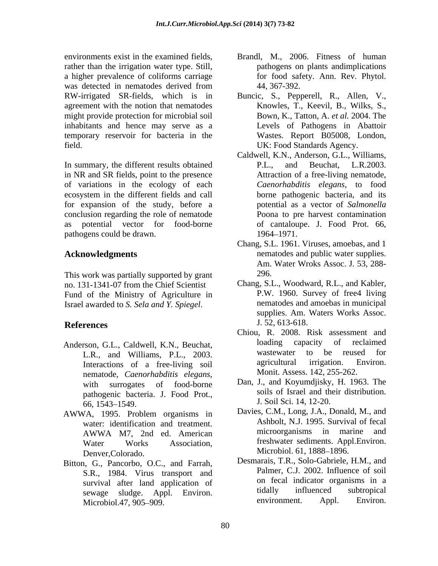environments exist in the examined fields, Brandl, M., 2006. Fitness of human rather than the irrigation water type. Still, a higher prevalence of coliforms carriage was detected in nematodes derived from  $44, 367-392$ . agreement with the notion that nematodes might provide protection for microbial soil inhabitants and hence may serve as a temporary reservoir for bacteria in the

In summary, the different results obtained P.L., and Beuchat, L.R.2003. in NR and SR fields, point to the presence of variations in the ecology of each ecosystem in the different fields and call for expansion of the study, before a conclusion regarding the role of nematode as potential vector for food-borne of cantaloupe. J. Food Prot. 66, pathogens could be drawn. 1964–1971.

This work was partially supported by grant 296. no. 131-1341-07 from the Chief Scientist Fund of the Ministry of Agriculture in Israel awarded to *S. Sela and Y. Spiegel*.

- Interactions of a free-living soil nematode, *Caenorhabditis elegans*, with surrogates of food-borne pathogenic bacteria. J. Food Prot., 66, 1543–1549. J. Soil Sci. 14, 12-20.
- AWWA, 1995. Problem organisms in Denver,Colorado. Microbiol. 61, 1888–1896.
- Bitton, G., Pancorbo, O.C., and Farrah, S.R., 1984. Virus transport and Microbiol.47, 905 909.
- pathogens on plants andimplications for food safety. Ann. Rev. Phytol. 44, 367-392.
- RW-irrigated SR-fields, which is in Buncic, S., Pepperell, R., Allen, V., field. UK: Food Standards Agency. Knowles, T., Keevil, B., Wilks, S., Bown, K., Tatton, A. *et al.* 2004. The Levels of Pathogens in Abattoir Wastes. Report B05008, London,
	- Caldwell, K.N., Anderson, G.L., Williams, P.L., and Beuchat, L.R.2003. Attraction of a free-living nematode, *Caenorhabditis elegans*, to food borne pathogenic bacteria, and its potential as a vector of *Salmonella*  Poona to pre harvest contamination 1964 1971.
- Acknowledgments **and a set of the set of the set of the set of the set of the set of the set of the set of the set of the set of the set of the set of the set of the set of the set of the set of the set of the set of the s** Chang, S.L. 1961. Viruses, amoebas, and 1 Am. Water Wroks Assoc. J. 53, 288- 296.
- **References** 1.52, 613-618. Chang, S.L., Woodward, R.L., and Kabler, P.W. 1960. Survey of free4 living nematodes and amoebas in municipal supplies. Am. Waters Works Assoc. J. 52, 613-618.
- Anderson, G.L., Caldwell, K.N., Beuchat, loading capacity of reclaimed<br>
L.B. and Williams P.I. 2003 wastewater to be reused for L.R., and Williams, P.L., 2003. Wastewater to be reused for<br>Interactions of a free-living soil agricultural irrigation. Environ. Chiou, R. 2008. Risk assessment and loading capacity of reclaimed wastewater to be reused for agricultural irrigation. Environ. Monit. Assess. 142, 255-262.
	- Dan, J., and Koyumdjisky, H. 1963. The soils of Israel and their distribution. J. Soil Sci. 14, 12-20.
	- water: identification and treatment. Ashbolt, N.J. 1995. Survival of fecal<br>AWWA M7 2nd ed. American microorganisms in marine and AWWA M7, 2nd ed. American Water Works Association, freshwater sediments. Appl.Environ. Davies, C.M., Long, J.A., Donald, M., and Ashbolt, N.J. 1995. Survival of fecal microorganisms in marine Microbiol. 61, 1888–1896.
	- survival after land application of the on tecal indicator organisms in a<br>sewage sludge Apple Environt tidally influenced subtropical sewage sludge. Appl. Environ. tidally influenced subtropical<br>Microbiol 47, 905, 909 Desmarais, T.R., Solo-Gabriele, H.M., and Palmer, C.J. 2002. Influence of soil on fecal indicator organisms in a tidally influenced subtropical environment. Appl. Environ.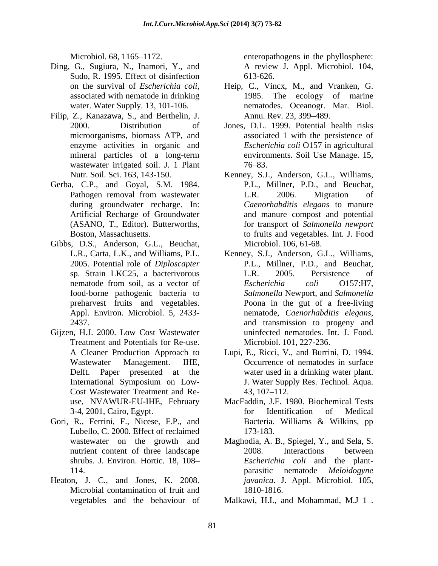- Ding, G., Sugiura, N., Inamori, Y., and Sudo, R. 1995. Effect of disinfection 613-626. associated with nematode in drinking
- Filip, Z., Kanazawa, S., and Berthelin, J. wastewater irrigated soil. J. 1 Plant 76–83.
- Gerba, C.P., and Goyal, S.M. 1984.
- Gibbs, D.S., Anderson, G.L., Beuchat,
- Gijzen, H.J. 2000. Low Cost Wastewater Treatment and Potentials for Re-use. Cost Wastewater Treatment and Re-
- Gori, R., Ferrini, F., Nicese, F.P., and Bacteria. Williams & Wilkins, pp Lubello, C. 2000. Effect of reclaimed 173-183.
- Heaton, J. C., and Jones, K. 2008. Microbial contamination of fruit and 1810-1816.

Microbiol. 68, 1165–1172. enteropathogens in the phyllosphere: A review J. Appl. Microbiol. 104, 613-626.

- on the survival of *Escherichia coli,* Heip, C., Vincx, M., and Vranken, G. water. Water Supply. 13, 101-106. nematodes. Oceanogr. Mar. Biol. 1985. The ecology of marine Annu. Rev. 23, 399–489.
- 2000. Distribution of Jones, D.L. 1999. Potential health risks microorganisms, biomass ATP, and associated 1 with the persistence of enzyme activities in organic and *Escherichia coli* O157 in agricultural mineral particles of a long-term environments. Soil Use Manage. 15,  $76 - 83.$
- Nutr. Soil. Sci. 163, 143-150. Kenney, S.J., Anderson, G.L., Williams, Pathogen removal from wastewater L.R. 2006. Migration of during groundwater recharge. In: *Caenorhabditis elegans* to manure Artificial Recharge of Groundwater and manure compost and potential (ASANO, T., Editor). Butterworths, for transport of *Salmonella newport* Boston, Massachusetts. to fruits and vegetables. Int. J. Food P.L., Millner, P.D., and Beuchat, L.R. 2006. Migration of Microbiol. 106, 61-68.
- L.R., Carta, L.K., and Williams, P.L. Kenney, S.J., Anderson, G.L., Williams, 2005. Potential role of *Diploscapter*  P.L., Millner, P.D., and Beuchat, sp. Strain LKC25, a bacterivorous nematode from soil, as a vector of Escherichia coli O157:H7, food-borne pathogenic bacteria to *Salmonella* Newport, and *Salmonella*  preharvest fruits and vegetables. Poona in the gut of a free-living Appl. Environ. Microbiol. 5, 2433- nematode, Caenorhabditis elegans, 2437. 2012 and transmission to progeny and L.R. 2005. Persistence of *Escherichia coli* O157:H7, nematode, *Caenorhabditis elegans*, and transmission to progeny and uninfected nematodes. Int. J. Food. Microbiol. 101, 227-236.
- A Cleaner Production Approach to Lupi, E., Ricci, V., and Burrini, D. 1994. Wastewater Management. IHE, Occurrence of nematodes in surface Delft. Paper presented at the water used in a drinking water plant. International Symposium on Low-<br>I. Water Supply Res. Technol. Aqua. J. Water Supply Res. Technol. Aqua.  $43, 107 - 112.$
- use, NVAWUR-EU-IHE, February MacFaddin, J.F. 1980. Biochemical Tests 3-4, 2001, Cairo, Egypt. for Identification of Medical Bacteria. Williams & Wilkins, pp 173-183.
- wastewater on the growth and Maghodia, A. B., Spiegel, Y., and Sela, S. nutrient content of three landscape 2008. Interactions between shrubs. J. Environ. Hortic. 18, 108 *Escherichia coli* and the plant- 114. **114. 114 114 114 114 114 114 114 114 114 114 114 114 114 114 114 114 114 114 114 114 114 114 114 114 114 114 114 114 114 114 114 114 114 114 114** 2008. Interactions between parasitic nematode *Meloidogyne javanica*. J. Appl. Microbiol. 105, 1810-1816.
- vegetables and the behaviour of Malkawi, H.I., and Mohammad, M.J 1 .